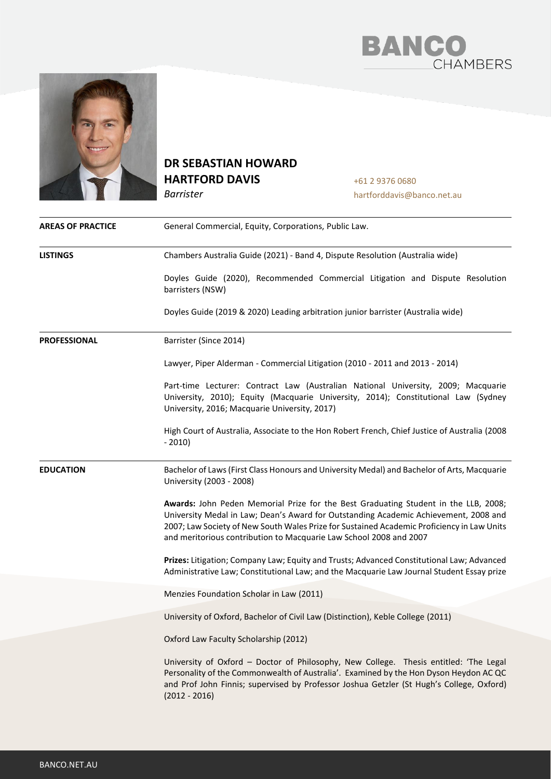



## **DR SEBASTIAN HOWARD HARTFORD DAVIS**

*Barrister*

+61 2 9376 0680 hartforddavis@banco.net.au

| <b>AREAS OF PRACTICE</b>                 | General Commercial, Equity, Corporations, Public Law.                                                                                                                                                                                                                                                                                           |  |
|------------------------------------------|-------------------------------------------------------------------------------------------------------------------------------------------------------------------------------------------------------------------------------------------------------------------------------------------------------------------------------------------------|--|
| <b>LISTINGS</b>                          | Chambers Australia Guide (2021) - Band 4, Dispute Resolution (Australia wide)                                                                                                                                                                                                                                                                   |  |
|                                          | Doyles Guide (2020), Recommended Commercial Litigation and Dispute Resolution<br>barristers (NSW)                                                                                                                                                                                                                                               |  |
|                                          | Doyles Guide (2019 & 2020) Leading arbitration junior barrister (Australia wide)                                                                                                                                                                                                                                                                |  |
| <b>PROFESSIONAL</b>                      | Barrister (Since 2014)                                                                                                                                                                                                                                                                                                                          |  |
|                                          | Lawyer, Piper Alderman - Commercial Litigation (2010 - 2011 and 2013 - 2014)                                                                                                                                                                                                                                                                    |  |
|                                          | Part-time Lecturer: Contract Law (Australian National University, 2009; Macquarie<br>University, 2010); Equity (Macquarie University, 2014); Constitutional Law (Sydney<br>University, 2016; Macquarie University, 2017)                                                                                                                        |  |
|                                          | High Court of Australia, Associate to the Hon Robert French, Chief Justice of Australia (2008)<br>$-2010)$                                                                                                                                                                                                                                      |  |
| <b>EDUCATION</b>                         | Bachelor of Laws (First Class Honours and University Medal) and Bachelor of Arts, Macquarie<br>University (2003 - 2008)                                                                                                                                                                                                                         |  |
|                                          | Awards: John Peden Memorial Prize for the Best Graduating Student in the LLB, 2008;<br>University Medal in Law; Dean's Award for Outstanding Academic Achievement, 2008 and<br>2007; Law Society of New South Wales Prize for Sustained Academic Proficiency in Law Units<br>and meritorious contribution to Macquarie Law School 2008 and 2007 |  |
|                                          | Prizes: Litigation; Company Law; Equity and Trusts; Advanced Constitutional Law; Advanced<br>Administrative Law; Constitutional Law; and the Macquarie Law Journal Student Essay prize                                                                                                                                                          |  |
| Menzies Foundation Scholar in Law (2011) |                                                                                                                                                                                                                                                                                                                                                 |  |
|                                          | University of Oxford, Bachelor of Civil Law (Distinction), Keble College (2011)                                                                                                                                                                                                                                                                 |  |
|                                          | Oxford Law Faculty Scholarship (2012)                                                                                                                                                                                                                                                                                                           |  |
|                                          | University of Oxford - Doctor of Philosophy, New College. Thesis entitled: 'The Legal<br>Personality of the Commonwealth of Australia'. Examined by the Hon Dyson Heydon AC QC<br>and Prof John Finnis; supervised by Professor Joshua Getzler (St Hugh's College, Oxford)<br>$(2012 - 2016)$                                                   |  |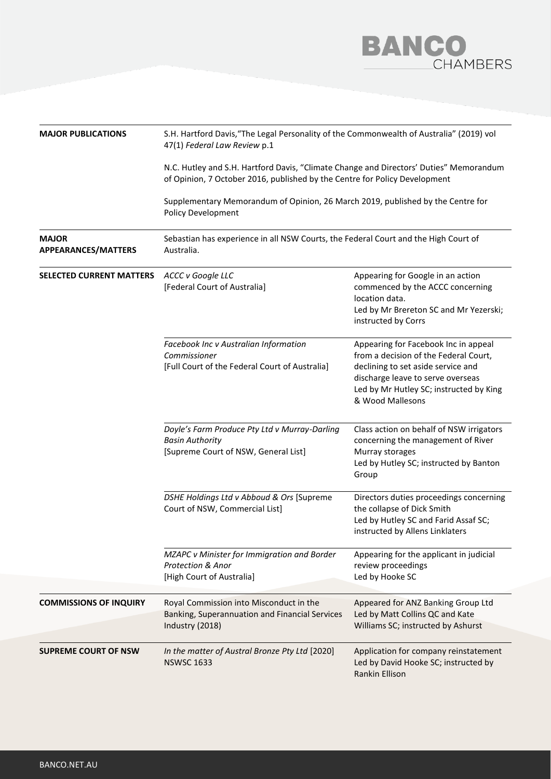

| <b>MAJOR PUBLICATIONS</b>                  | S.H. Hartford Davis, "The Legal Personality of the Commonwealth of Australia" (2019) vol<br>47(1) Federal Law Review p.1                                             |                                                                                                                                                                                                                         |  |  |
|--------------------------------------------|----------------------------------------------------------------------------------------------------------------------------------------------------------------------|-------------------------------------------------------------------------------------------------------------------------------------------------------------------------------------------------------------------------|--|--|
|                                            | N.C. Hutley and S.H. Hartford Davis, "Climate Change and Directors' Duties" Memorandum<br>of Opinion, 7 October 2016, published by the Centre for Policy Development |                                                                                                                                                                                                                         |  |  |
|                                            | Supplementary Memorandum of Opinion, 26 March 2019, published by the Centre for<br>Policy Development                                                                |                                                                                                                                                                                                                         |  |  |
| <b>MAJOR</b><br><b>APPEARANCES/MATTERS</b> | Sebastian has experience in all NSW Courts, the Federal Court and the High Court of<br>Australia.                                                                    |                                                                                                                                                                                                                         |  |  |
| <b>SELECTED CURRENT MATTERS</b>            | ACCC v Google LLC<br>[Federal Court of Australia]                                                                                                                    | Appearing for Google in an action<br>commenced by the ACCC concerning<br>location data.<br>Led by Mr Brereton SC and Mr Yezerski;<br>instructed by Corrs                                                                |  |  |
|                                            | Facebook Inc v Australian Information<br>Commissioner<br>[Full Court of the Federal Court of Australia]                                                              | Appearing for Facebook Inc in appeal<br>from a decision of the Federal Court,<br>declining to set aside service and<br>discharge leave to serve overseas<br>Led by Mr Hutley SC; instructed by King<br>& Wood Mallesons |  |  |
|                                            | Doyle's Farm Produce Pty Ltd v Murray-Darling<br><b>Basin Authority</b><br>[Supreme Court of NSW, General List]                                                      | Class action on behalf of NSW irrigators<br>concerning the management of River<br>Murray storages<br>Led by Hutley SC; instructed by Banton<br>Group                                                                    |  |  |
|                                            | DSHE Holdings Ltd v Abboud & Ors [Supreme<br>Court of NSW, Commercial List]                                                                                          | Directors duties proceedings concerning<br>the collapse of Dick Smith<br>Led by Hutley SC and Farid Assaf SC;<br>instructed by Allens Linklaters                                                                        |  |  |
|                                            | MZAPC v Minister for Immigration and Border<br><b>Protection &amp; Anor</b><br>[High Court of Australia]                                                             | Appearing for the applicant in judicial<br>review proceedings<br>Led by Hooke SC                                                                                                                                        |  |  |
| <b>COMMISSIONS OF INQUIRY</b>              | Royal Commission into Misconduct in the<br>Banking, Superannuation and Financial Services<br>Industry (2018)                                                         | Appeared for ANZ Banking Group Ltd<br>Led by Matt Collins QC and Kate<br>Williams SC; instructed by Ashurst                                                                                                             |  |  |
| <b>SUPREME COURT OF NSW</b>                | In the matter of Austral Bronze Pty Ltd [2020]<br><b>NSWSC 1633</b>                                                                                                  | Application for company reinstatement<br>Led by David Hooke SC; instructed by<br>Rankin Ellison                                                                                                                         |  |  |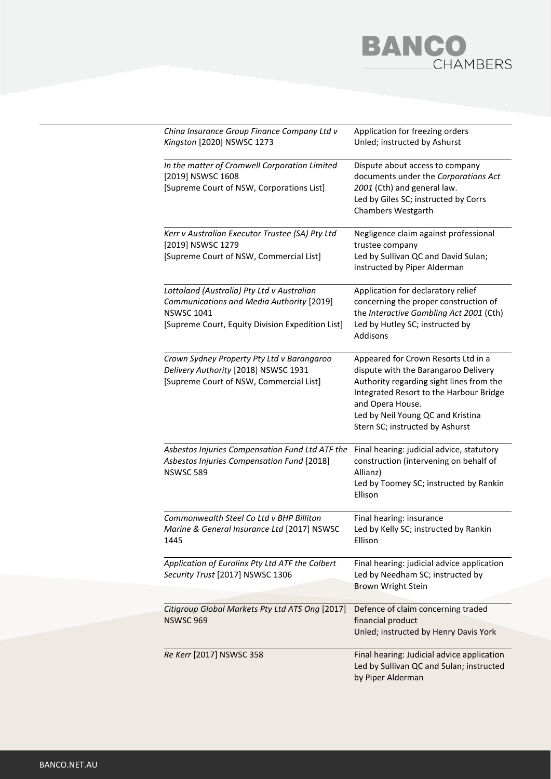## **BANCO**<br>CHAMBERS

| China Insurance Group Finance Company Ltd v<br>Kingston [2020] NSWSC 1273                                                                                        | Application for freezing orders<br>Unled; instructed by Ashurst                                                                                                                                                                                                |  |
|------------------------------------------------------------------------------------------------------------------------------------------------------------------|----------------------------------------------------------------------------------------------------------------------------------------------------------------------------------------------------------------------------------------------------------------|--|
| In the matter of Cromwell Corporation Limited<br>[2019] NSWSC 1608<br>[Supreme Court of NSW, Corporations List]                                                  | Dispute about access to company<br>documents under the Corporations Act<br>2001 (Cth) and general law.<br>Led by Giles SC; instructed by Corrs<br>Chambers Westgarth                                                                                           |  |
| Kerr v Australian Executor Trustee (SA) Pty Ltd<br>[2019] NSWSC 1279<br>[Supreme Court of NSW, Commercial List]                                                  | Negligence claim against professional<br>trustee company<br>Led by Sullivan QC and David Sulan;<br>instructed by Piper Alderman                                                                                                                                |  |
| Lottoland (Australia) Pty Ltd v Australian<br>Communications and Media Authority [2019]<br><b>NSWSC 1041</b><br>[Supreme Court, Equity Division Expedition List] | Application for declaratory relief<br>concerning the proper construction of<br>the Interactive Gambling Act 2001 (Cth)<br>Led by Hutley SC; instructed by<br>Addisons                                                                                          |  |
| Crown Sydney Property Pty Ltd v Barangaroo<br>Delivery Authority [2018] NSWSC 1931<br>[Supreme Court of NSW, Commercial List]                                    | Appeared for Crown Resorts Ltd in a<br>dispute with the Barangaroo Delivery<br>Authority regarding sight lines from the<br>Integrated Resort to the Harbour Bridge<br>and Opera House.<br>Led by Neil Young QC and Kristina<br>Stern SC; instructed by Ashurst |  |
| Asbestos Injuries Compensation Fund Ltd ATF the<br>Asbestos Injuries Compensation Fund [2018]<br><b>NSWSC 589</b>                                                | Final hearing: judicial advice, statutory<br>construction (intervening on behalf of<br>Allianz)<br>Led by Toomey SC; instructed by Rankin<br>Ellison                                                                                                           |  |
| Commonwealth Steel Co Ltd v BHP Billiton<br>Marine & General Insurance Ltd [2017] NSWSC<br>1445                                                                  | Final hearing: insurance<br>Led by Kelly SC; instructed by Rankin<br>Ellison                                                                                                                                                                                   |  |
| Application of Eurolinx Pty Ltd ATF the Colbert<br>Security Trust [2017] NSWSC 1306                                                                              | Final hearing: judicial advice application<br>Led by Needham SC; instructed by<br><b>Brown Wright Stein</b>                                                                                                                                                    |  |
| Citigroup Global Markets Pty Ltd ATS Ong [2017]<br><b>NSWSC 969</b>                                                                                              | Defence of claim concerning traded<br>financial product<br>Unled; instructed by Henry Davis York                                                                                                                                                               |  |
| Re Kerr [2017] NSWSC 358                                                                                                                                         | Final hearing: Judicial advice application<br>Led by Sullivan QC and Sulan; instructed<br>by Piper Alderman                                                                                                                                                    |  |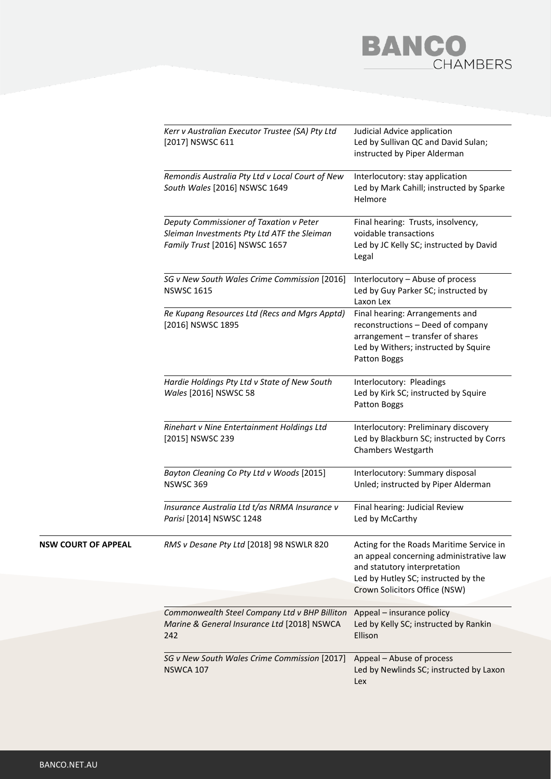

|                            | Kerr v Australian Executor Trustee (SA) Pty Ltd<br>[2017] NSWSC 611                                                      | Judicial Advice application<br>Led by Sullivan QC and David Sulan;<br>instructed by Piper Alderman                                                                                          |
|----------------------------|--------------------------------------------------------------------------------------------------------------------------|---------------------------------------------------------------------------------------------------------------------------------------------------------------------------------------------|
|                            | Remondis Australia Pty Ltd v Local Court of New<br>South Wales [2016] NSWSC 1649                                         | Interlocutory: stay application<br>Led by Mark Cahill; instructed by Sparke<br>Helmore                                                                                                      |
|                            | Deputy Commissioner of Taxation v Peter<br>Sleiman Investments Pty Ltd ATF the Sleiman<br>Family Trust [2016] NSWSC 1657 | Final hearing: Trusts, insolvency,<br>voidable transactions<br>Led by JC Kelly SC; instructed by David<br>Legal                                                                             |
|                            | SG v New South Wales Crime Commission [2016]<br><b>NSWSC 1615</b>                                                        | Interlocutory - Abuse of process<br>Led by Guy Parker SC; instructed by<br>Laxon Lex                                                                                                        |
|                            | Re Kupang Resources Ltd (Recs and Mgrs Apptd)<br>[2016] NSWSC 1895                                                       | Final hearing: Arrangements and<br>reconstructions - Deed of company<br>arrangement - transfer of shares<br>Led by Withers; instructed by Squire<br>Patton Boggs                            |
|                            | Hardie Holdings Pty Ltd v State of New South<br>Wales [2016] NSWSC 58                                                    | Interlocutory: Pleadings<br>Led by Kirk SC; instructed by Squire<br>Patton Boggs                                                                                                            |
|                            | Rinehart v Nine Entertainment Holdings Ltd<br>[2015] NSWSC 239                                                           | Interlocutory: Preliminary discovery<br>Led by Blackburn SC; instructed by Corrs<br><b>Chambers Westgarth</b>                                                                               |
|                            | Bayton Cleaning Co Pty Ltd v Woods [2015]<br><b>NSWSC 369</b>                                                            | Interlocutory: Summary disposal<br>Unled; instructed by Piper Alderman                                                                                                                      |
|                            | Insurance Australia Ltd t/as NRMA Insurance v<br>Parisi [2014] NSWSC 1248                                                | Final hearing: Judicial Review<br>Led by McCarthy                                                                                                                                           |
| <b>NSW COURT OF APPEAL</b> | RMS v Desane Pty Ltd [2018] 98 NSWLR 820                                                                                 | Acting for the Roads Maritime Service in<br>an appeal concerning administrative law<br>and statutory interpretation<br>Led by Hutley SC; instructed by the<br>Crown Solicitors Office (NSW) |
|                            |                                                                                                                          |                                                                                                                                                                                             |
|                            | Commonwealth Steel Company Ltd v BHP Billiton<br>Marine & General Insurance Ltd [2018] NSWCA<br>242                      | Appeal - insurance policy<br>Led by Kelly SC; instructed by Rankin<br>Ellison                                                                                                               |
|                            | SG v New South Wales Crime Commission [2017]<br><b>NSWCA 107</b>                                                         | Appeal - Abuse of process<br>Led by Newlinds SC; instructed by Laxon<br>Lex                                                                                                                 |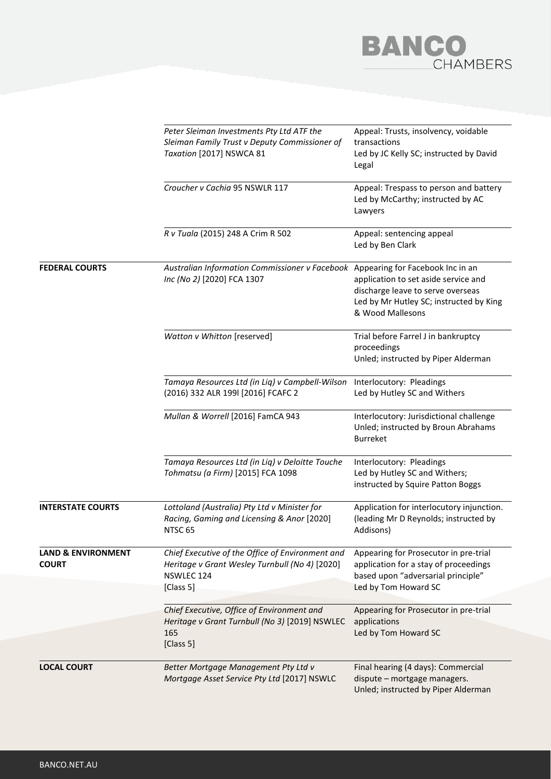

|                                               | Peter Sleiman Investments Pty Ltd ATF the<br>Sleiman Family Trust v Deputy Commissioner of<br>Taxation [2017] NSWCA 81<br>Croucher v Cachia 95 NSWLR 117<br>R v Tuala (2015) 248 A Crim R 502 | Appeal: Trusts, insolvency, voidable<br>transactions<br>Led by JC Kelly SC; instructed by David<br>Legal<br>Appeal: Trespass to person and battery<br>Led by McCarthy; instructed by AC<br>Lawyers<br>Appeal: sentencing appeal<br>Led by Ben Clark |
|-----------------------------------------------|-----------------------------------------------------------------------------------------------------------------------------------------------------------------------------------------------|-----------------------------------------------------------------------------------------------------------------------------------------------------------------------------------------------------------------------------------------------------|
|                                               |                                                                                                                                                                                               |                                                                                                                                                                                                                                                     |
|                                               |                                                                                                                                                                                               |                                                                                                                                                                                                                                                     |
| <b>FEDERAL COURTS</b>                         | Australian Information Commissioner v Facebook Appearing for Facebook Inc in an<br>Inc (No 2) [2020] FCA 1307                                                                                 | application to set aside service and<br>discharge leave to serve overseas<br>Led by Mr Hutley SC; instructed by King<br>& Wood Mallesons                                                                                                            |
|                                               | Watton v Whitton [reserved]                                                                                                                                                                   | Trial before Farrel J in bankruptcy<br>proceedings<br>Unled; instructed by Piper Alderman                                                                                                                                                           |
|                                               | Tamaya Resources Ltd (in Liq) v Campbell-Wilson<br>(2016) 332 ALR 199l [2016] FCAFC 2                                                                                                         | Interlocutory: Pleadings<br>Led by Hutley SC and Withers                                                                                                                                                                                            |
|                                               | Mullan & Worrell [2016] FamCA 943                                                                                                                                                             | Interlocutory: Jurisdictional challenge<br>Unled; instructed by Broun Abrahams<br><b>Burreket</b>                                                                                                                                                   |
|                                               | Tamaya Resources Ltd (in Liq) v Deloitte Touche<br>Tohmatsu (a Firm) [2015] FCA 1098                                                                                                          | Interlocutory: Pleadings<br>Led by Hutley SC and Withers;<br>instructed by Squire Patton Boggs                                                                                                                                                      |
| <b>INTERSTATE COURTS</b>                      | Lottoland (Australia) Pty Ltd v Minister for<br>Racing, Gaming and Licensing & Anor [2020]<br>NTSC <sub>65</sub>                                                                              | Application for interlocutory injunction.<br>(leading Mr D Reynolds; instructed by<br>Addisons)                                                                                                                                                     |
| <b>LAND &amp; ENVIRONMENT</b><br><b>COURT</b> | Chief Executive of the Office of Environment and<br>Heritage v Grant Wesley Turnbull (No 4) [2020]<br>NSWLEC 124<br>[Class 5]                                                                 | Appearing for Prosecutor in pre-trial<br>application for a stay of proceedings<br>based upon "adversarial principle"<br>Led by Tom Howard SC                                                                                                        |
|                                               | Chief Executive, Office of Environment and<br>Heritage v Grant Turnbull (No 3) [2019] NSWLEC<br>165<br>[Class 5]                                                                              | Appearing for Prosecutor in pre-trial<br>applications<br>Led by Tom Howard SC                                                                                                                                                                       |
| <b>LOCAL COURT</b>                            | Better Mortgage Management Pty Ltd v<br>Mortgage Asset Service Pty Ltd [2017] NSWLC                                                                                                           | Final hearing (4 days): Commercial<br>dispute - mortgage managers.<br>Unled; instructed by Piper Alderman                                                                                                                                           |